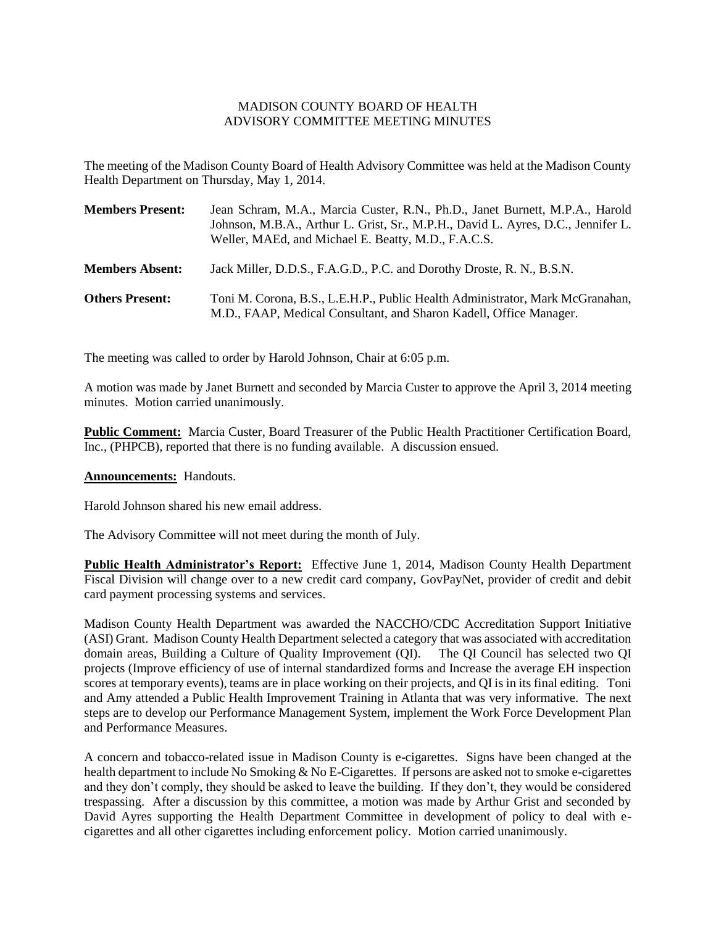## MADISON COUNTY BOARD OF HEALTH ADVISORY COMMITTEE MEETING MINUTES

The meeting of the Madison County Board of Health Advisory Committee was held at the Madison County Health Department on Thursday, May 1, 2014.

| <b>Members Present:</b> | Jean Schram, M.A., Marcia Custer, R.N., Ph.D., Janet Burnett, M.P.A., Harold<br>Johnson, M.B.A., Arthur L. Grist, Sr., M.P.H., David L. Ayres, D.C., Jennifer L.<br>Weller, MAEd, and Michael E. Beatty, M.D., F.A.C.S. |
|-------------------------|-------------------------------------------------------------------------------------------------------------------------------------------------------------------------------------------------------------------------|
| <b>Members Absent:</b>  | Jack Miller, D.D.S., F.A.G.D., P.C. and Dorothy Droste, R. N., B.S.N.                                                                                                                                                   |
| <b>Others Present:</b>  | Toni M. Corona, B.S., L.E.H.P., Public Health Administrator, Mark McGranahan,<br>M.D., FAAP, Medical Consultant, and Sharon Kadell, Office Manager.                                                                     |

The meeting was called to order by Harold Johnson, Chair at 6:05 p.m.

A motion was made by Janet Burnett and seconded by Marcia Custer to approve the April 3, 2014 meeting minutes. Motion carried unanimously.

**Public Comment:** Marcia Custer, Board Treasurer of the Public Health Practitioner Certification Board, Inc., (PHPCB), reported that there is no funding available. A discussion ensued.

## **Announcements:** Handouts.

Harold Johnson shared his new email address.

The Advisory Committee will not meet during the month of July.

**Public Health Administrator's Report:** Effective June 1, 2014, Madison County Health Department Fiscal Division will change over to a new credit card company, GovPayNet, provider of credit and debit card payment processing systems and services.

Madison County Health Department was awarded the NACCHO/CDC Accreditation Support Initiative (ASI) Grant. Madison County Health Department selected a category that was associated with accreditation domain areas, Building a Culture of Quality Improvement (QI). The QI Council has selected two QI projects (Improve efficiency of use of internal standardized forms and Increase the average EH inspection scores at temporary events), teams are in place working on their projects, and QI is in its final editing. Toni and Amy attended a Public Health Improvement Training in Atlanta that was very informative. The next steps are to develop our Performance Management System, implement the Work Force Development Plan and Performance Measures.

A concern and tobacco-related issue in Madison County is e-cigarettes. Signs have been changed at the health department to include No Smoking & No E-Cigarettes. If persons are asked not to smoke e-cigarettes and they don't comply, they should be asked to leave the building. If they don't, they would be considered trespassing. After a discussion by this committee, a motion was made by Arthur Grist and seconded by David Ayres supporting the Health Department Committee in development of policy to deal with ecigarettes and all other cigarettes including enforcement policy. Motion carried unanimously.